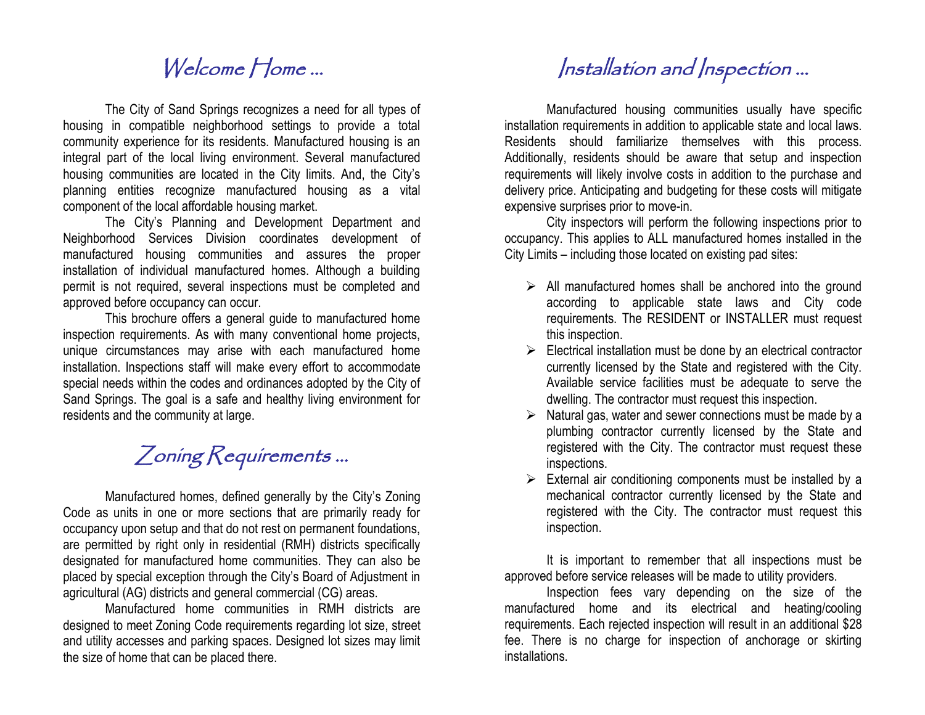## Welcome Home ...

The City of Sand Springs recognizes a need for all types of housing in compatible neighborhood settings to provide a total community experience for its residents. Manufactured housing is an integral part of the local living environment. Several manufactured housing communities are located in the City limits. And, the City's planning entities recognize manufactured housing as a vital component of the local affordable housing market.

The City's Planning and Development Department and Neighborhood Services Division coordinates development of manufactured housing communities and assures the proper installation of individual manufactured homes. Although a building permit is not required, several inspections must be completed and approved before occupancy can occur.

This brochure offers a general guide to manufactured home inspection requirements. As with many conventional home projects, unique circumstances may arise with each manufactured home installation. Inspections staff will make every effort to accommodate special needs within the codes and ordinances adopted by the City of Sand Springs. The goal is a safe and healthy living environment for residents and the community at large.

## Zoning Requirements ...

Manufactured homes, defined generally by the City's Zoning Code as units in one or more sections that are primarily ready for occupancy upon setup and that do not rest on permanent foundations, are permitted by right only in residential (RMH) districts specifically designated for manufactured home communities. They can also be placed by special exception through the City's Board of Adjustment in agricultural (AG) districts and general commercial (CG) areas.

Manufactured home communities in RMH districts are designed to meet Zoning Code requirements regarding lot size, street and utility accesses and parking spaces. Designed lot sizes may limit the size of home that can be placed there.

## Installation and Inspection ...

Manufactured housing communities usually have specific installation requirements in addition to applicable state and local laws. Residents should familiarize themselves with this process. Additionally, residents should be aware that setup and inspection requirements will likely involve costs in addition to the purchase and delivery price. Anticipating and budgeting for these costs will mitigate expensive surprises prior to move-in.

City inspectors will perform the following inspections prior to occupancy. This applies to ALL manufactured homes installed in the City Limits – including those located on existing pad sites:

- $\triangleright$  All manufactured homes shall be anchored into the ground according to applicable state laws and City code requirements. The RESIDENT or INSTALLER must request this inspection.
- $\triangleright$  Electrical installation must be done by an electrical contractor currently licensed by the State and registered with the City. Available service facilities must be adequate to serve the dwelling. The contractor must request this inspection.
- $\triangleright$  Natural gas, water and sewer connections must be made by a plumbing contractor currently licensed by the State and registered with the City. The contractor must request these inspections.
- $\triangleright$  External air conditioning components must be installed by a mechanical contractor currently licensed by the State and registered with the City. The contractor must request this inspection.

It is important to remember that all inspections must be approved before service releases will be made to utility providers.

Inspection fees vary depending on the size of the manufactured home and its electrical and heating/cooling requirements. Each rejected inspection will result in an additional \$28 fee. There is no charge for inspection of anchorage or skirting installations.